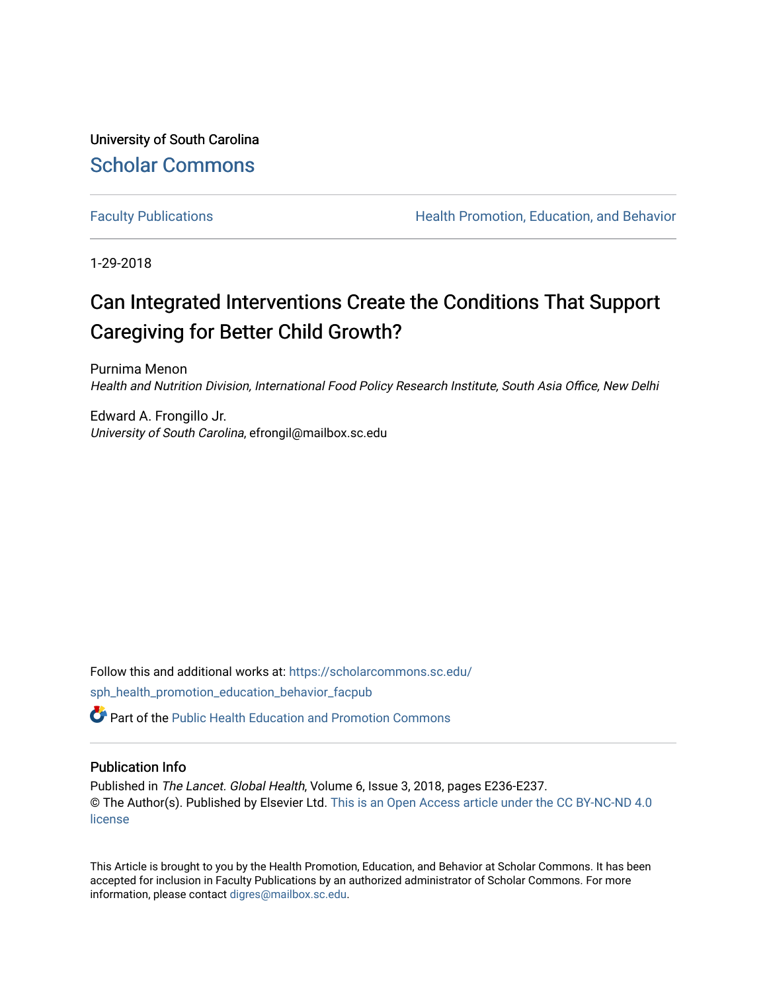University of South Carolina [Scholar Commons](https://scholarcommons.sc.edu/) 

[Faculty Publications](https://scholarcommons.sc.edu/sph_health_promotion_education_behavior_facpub) **Health Promotion, Education, and Behavior** Health Promotion, Education, and Behavior

1-29-2018

# Can Integrated Interventions Create the Conditions That Support Caregiving for Better Child Growth?

Purnima Menon Health and Nutrition Division, International Food Policy Research Institute, South Asia Office, New Delhi

Edward A. Frongillo Jr. University of South Carolina, efrongil@mailbox.sc.edu

Follow this and additional works at: [https://scholarcommons.sc.edu/](https://scholarcommons.sc.edu/sph_health_promotion_education_behavior_facpub?utm_source=scholarcommons.sc.edu%2Fsph_health_promotion_education_behavior_facpub%2F326&utm_medium=PDF&utm_campaign=PDFCoverPages) [sph\\_health\\_promotion\\_education\\_behavior\\_facpub](https://scholarcommons.sc.edu/sph_health_promotion_education_behavior_facpub?utm_source=scholarcommons.sc.edu%2Fsph_health_promotion_education_behavior_facpub%2F326&utm_medium=PDF&utm_campaign=PDFCoverPages)

 $\bullet$  Part of the Public Health Education and Promotion Commons

### Publication Info

Published in The Lancet. Global Health, Volume 6, Issue 3, 2018, pages E236-E237. © The Author(s). Published by Elsevier Ltd. [This is an Open Access article under the CC BY-NC-ND 4.0](http://creativecommons.org/licenses/by-nc-nd/4.0/)  [license](http://creativecommons.org/licenses/by-nc-nd/4.0/)

This Article is brought to you by the Health Promotion, Education, and Behavior at Scholar Commons. It has been accepted for inclusion in Faculty Publications by an authorized administrator of Scholar Commons. For more information, please contact [digres@mailbox.sc.edu.](mailto:digres@mailbox.sc.edu)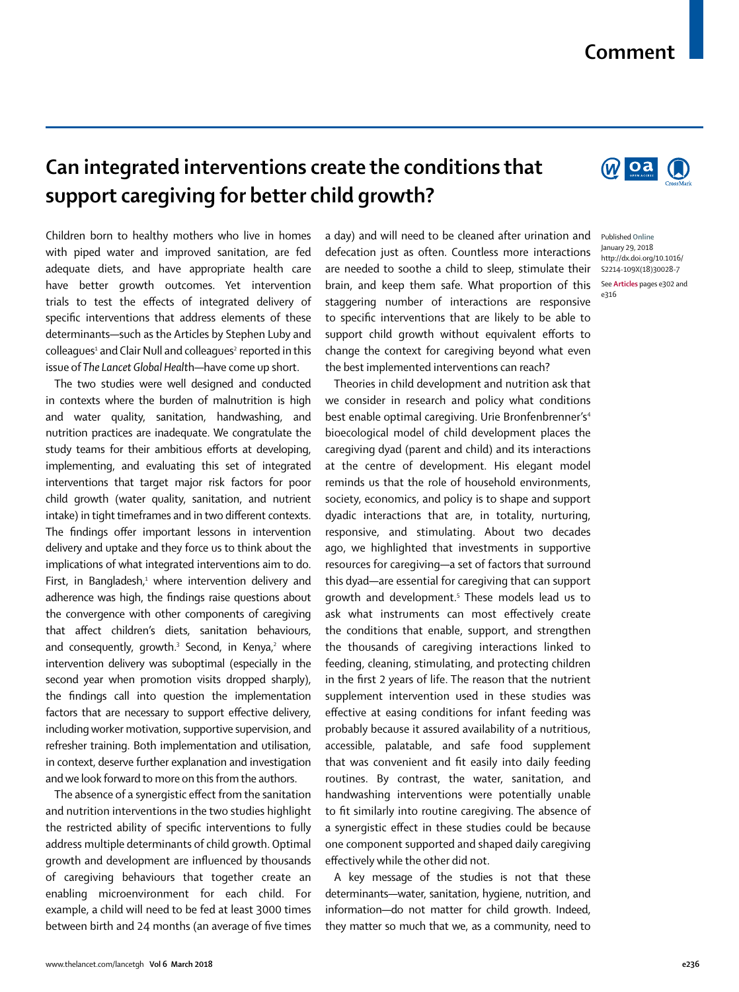## **Comment**

# **Can integrated interventions create the conditions that support caregiving for better child growth?**

Children born to healthy mothers who live in homes with piped water and improved sanitation, are fed adequate diets, and have appropriate health care have better growth outcomes. Yet intervention trials to test the effects of integrated delivery of specific interventions that address elements of these determinants—such as the Articles by Stephen Luby and colleagues<sup>1</sup> and Clair Null and colleagues<sup>2</sup> reported in this issue of *The Lancet Global Healt*h—have come up short.

The two studies were well designed and conducted in contexts where the burden of malnutrition is high and water quality, sanitation, handwashing, and nutrition practices are inadequate. We congratulate the study teams for their ambitious efforts at developing, implementing, and evaluating this set of integrated interventions that target major risk factors for poor child growth (water quality, sanitation, and nutrient intake) in tight timeframes and in two different contexts. The findings offer important lessons in intervention delivery and uptake and they force us to think about the implications of what integrated interventions aim to do. First, in Bangladesh,<sup>1</sup> where intervention delivery and adherence was high, the findings raise questions about the convergence with other components of caregiving that affect children's diets, sanitation behaviours, and consequently, growth.<sup>3</sup> Second, in Kenya,<sup>2</sup> where intervention delivery was suboptimal (especially in the second year when promotion visits dropped sharply), the findings call into question the implementation factors that are necessary to support effective delivery, including worker motivation, supportive supervision, and refresher training. Both implementation and utilisation, in context, deserve further explanation and investigation and we look forward to more on this from the authors.

The absence of a synergistic effect from the sanitation and nutrition interventions in the two studies highlight the restricted ability of specific interventions to fully address multiple determinants of child growth. Optimal growth and development are influenced by thousands of caregiving behaviours that together create an enabling microenvironment for each child. For example, a child will need to be fed at least 3000 times between birth and 24 months (an average of five times a day) and will need to be cleaned after urination and defecation just as often. Countless more interactions are needed to soothe a child to sleep, stimulate their brain, and keep them safe. What proportion of this staggering number of interactions are responsive to specific interventions that are likely to be able to support child growth without equivalent efforts to change the context for caregiving beyond what even the best implemented interventions can reach?

Theories in child development and nutrition ask that we consider in research and policy what conditions best enable optimal caregiving. Urie Bronfenbrenner's<sup>4</sup> bioecological model of child development places the caregiving dyad (parent and child) and its interactions at the centre of development. His elegant model reminds us that the role of household environments, society, economics, and policy is to shape and support dyadic interactions that are, in totality, nurturing, responsive, and stimulating. About two decades ago, we highlighted that investments in supportive resources for caregiving—a set of factors that surround this dyad—are essential for caregiving that can support growth and development.5 These models lead us to ask what instruments can most effectively create the conditions that enable, support, and strengthen the thousands of caregiving interactions linked to feeding, cleaning, stimulating, and protecting children in the first 2 years of life. The reason that the nutrient supplement intervention used in these studies was effective at easing conditions for infant feeding was probably because it assured availability of a nutritious, accessible, palatable, and safe food supplement that was convenient and fit easily into daily feeding routines. By contrast, the water, sanitation, and handwashing interventions were potentially unable to fit similarly into routine caregiving. The absence of a synergistic effect in these studies could be because one component supported and shaped daily caregiving effectively while the other did not.

A key message of the studies is not that these determinants—water, sanitation, hygiene, nutrition, and information—do not matter for child growth. Indeed, they matter so much that we, as a community, need to



Published **Online** January 29, 2018 http://dx.doi.org/10.1016/ S2214-109X(18)30028-7

See **Articles** pages e302 and e316